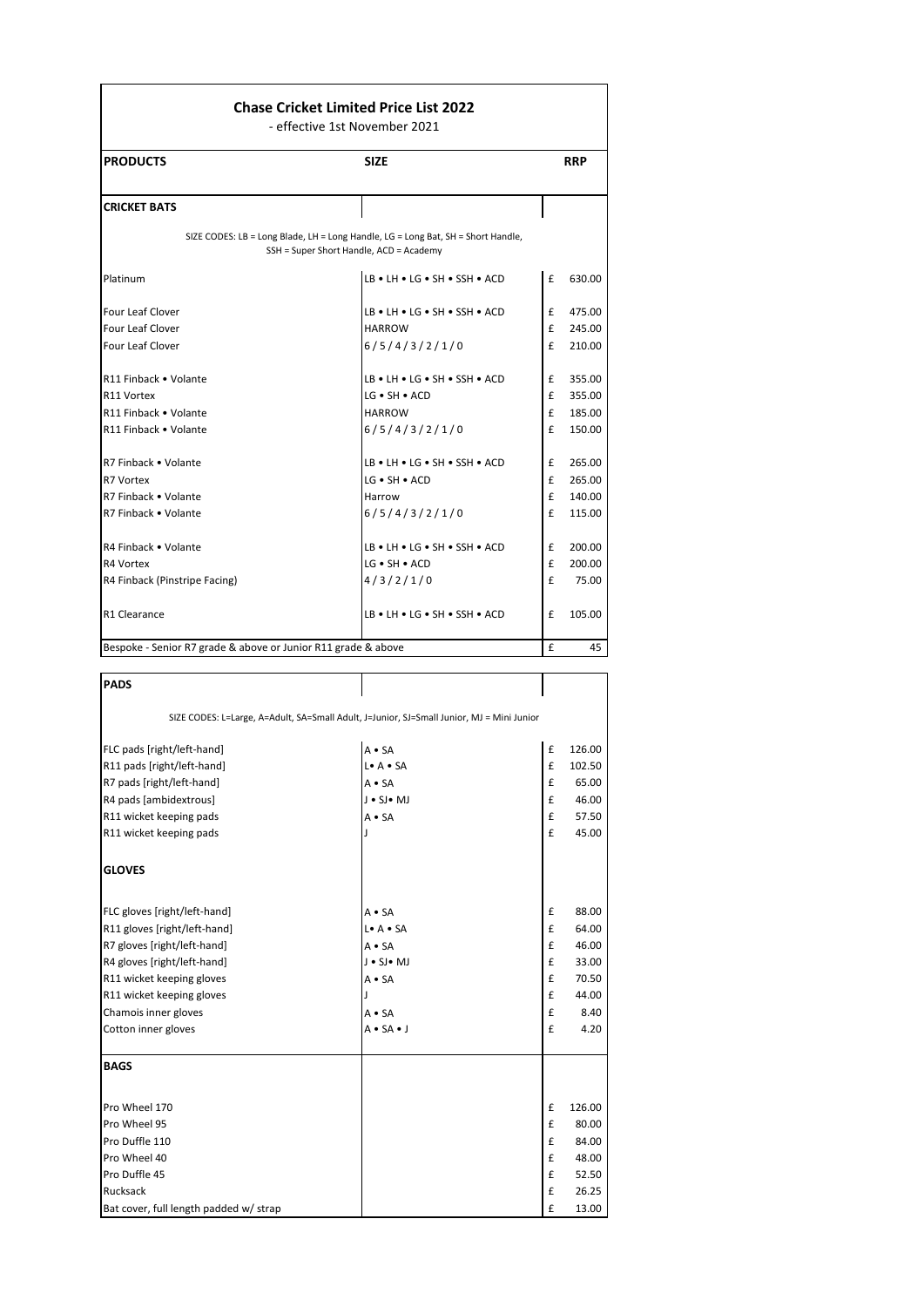## **Chase Cricket Limited Price List 2022**

- effective 1st November 2021

| <b>PRODUCTS</b>                                               | <b>SIZE</b>                                                                                                                 | <b>RRP</b>   |        |
|---------------------------------------------------------------|-----------------------------------------------------------------------------------------------------------------------------|--------------|--------|
| <b>CRICKET BATS</b>                                           |                                                                                                                             |              |        |
|                                                               | SIZE CODES: LB = Long Blade, LH = Long Handle, LG = Long Bat, SH = Short Handle,<br>SSH = Super Short Handle, ACD = Academy |              |        |
| Platinum                                                      | LB . LH . LG . SH . SSH . ACD                                                                                               | £            | 630.00 |
| Four Leaf Clover                                              | $LB \cdot LH \cdot LG \cdot SH \cdot SSH \cdot ACD$                                                                         | £            | 475.00 |
| <b>Four Leaf Clover</b>                                       | <b>HARROW</b>                                                                                                               | £            | 245.00 |
| Four Leaf Clover                                              | 6/5/4/3/2/1/0                                                                                                               | $\mathbf{f}$ | 210.00 |
| R11 Finback . Volante                                         | LB . LH . LG . SH . SSH . ACD                                                                                               | £            | 355.00 |
| R11 Vortex                                                    | $LG \cdot SH \cdot ACD$                                                                                                     | £            | 355.00 |
| R11 Finback . Volante                                         | <b>HARROW</b>                                                                                                               | £            | 185.00 |
| R11 Finback . Volante                                         | 6/5/4/3/2/1/0                                                                                                               | £            | 150.00 |
| R7 Finback • Volante                                          | $LB \cdot LH \cdot LG \cdot SH \cdot SSH \cdot ACD$                                                                         | £            | 265.00 |
| R7 Vortex                                                     | $LG \bullet SH \bullet ACD$                                                                                                 | f            | 265.00 |
| R7 Finback . Volante                                          | Harrow                                                                                                                      | £            | 140.00 |
| R7 Finback . Volante                                          | 6/5/4/3/2/1/0                                                                                                               | £            | 115.00 |
| R4 Finback • Volante                                          | $LB \cdot LH \cdot LG \cdot SH \cdot SSH \cdot ACD$                                                                         | £            | 200.00 |
| R4 Vortex                                                     | LG . SH . ACD                                                                                                               | £            | 200.00 |
| R4 Finback (Pinstripe Facing)                                 | 4/3/2/1/0                                                                                                                   | £            | 75.00  |
| R1 Clearance                                                  | $LB \cdot LH \cdot LG \cdot SH \cdot SSH \cdot ACD$                                                                         | £            | 105.00 |
| Bespoke - Senior R7 grade & above or Junior R11 grade & above |                                                                                                                             | £            | 45     |

| <b>PADS</b>                                                                               |                      |   |        |  |  |
|-------------------------------------------------------------------------------------------|----------------------|---|--------|--|--|
| SIZE CODES: L=Large, A=Adult, SA=Small Adult, J=Junior, SJ=Small Junior, MJ = Mini Junior |                      |   |        |  |  |
| FLC pads [right/left-hand]                                                                | $A \cdot SA$         | £ | 126.00 |  |  |
| R11 pads [right/left-hand]                                                                | L. A. SA             | £ | 102.50 |  |  |
| R7 pads [right/left-hand]                                                                 | $A \cdot SA$         | £ | 65.00  |  |  |
| R4 pads [ambidextrous]                                                                    | J . SJ . MJ          | £ | 46.00  |  |  |
| R11 wicket keeping pads                                                                   | $A \cdot SA$         | £ | 57.50  |  |  |
| R11 wicket keeping pads                                                                   | J.                   | £ | 45.00  |  |  |
| <b>GLOVES</b>                                                                             |                      |   |        |  |  |
| FLC gloves [right/left-hand]                                                              | $A \bullet SA$       | £ | 88.00  |  |  |
| R11 gloves [right/left-hand]                                                              | L. A. SA             | £ | 64.00  |  |  |
| R7 gloves [right/left-hand]                                                               | $A \cdot SA$         | £ | 46.00  |  |  |
| R4 gloves [right/left-hand]                                                               | J . SJ . MJ          | £ | 33.00  |  |  |
| R11 wicket keeping gloves                                                                 | $A \cdot SA$         | £ | 70.50  |  |  |
| R11 wicket keeping gloves                                                                 |                      | £ | 44.00  |  |  |
| Chamois inner gloves                                                                      | $A \cdot SA$         | £ | 8.40   |  |  |
| Cotton inner gloves                                                                       | $A \cdot SA \cdot J$ | £ | 4.20   |  |  |
| <b>BAGS</b>                                                                               |                      |   |        |  |  |
| Pro Wheel 170                                                                             |                      | £ | 126.00 |  |  |
| Pro Wheel 95                                                                              |                      | £ | 80.00  |  |  |
| Pro Duffle 110                                                                            |                      | £ | 84.00  |  |  |
| Pro Wheel 40                                                                              |                      | £ | 48.00  |  |  |
| Pro Duffle 45                                                                             |                      | £ | 52.50  |  |  |
| Rucksack                                                                                  |                      | £ | 26.25  |  |  |
| Bat cover, full length padded w/ strap                                                    |                      | £ | 13.00  |  |  |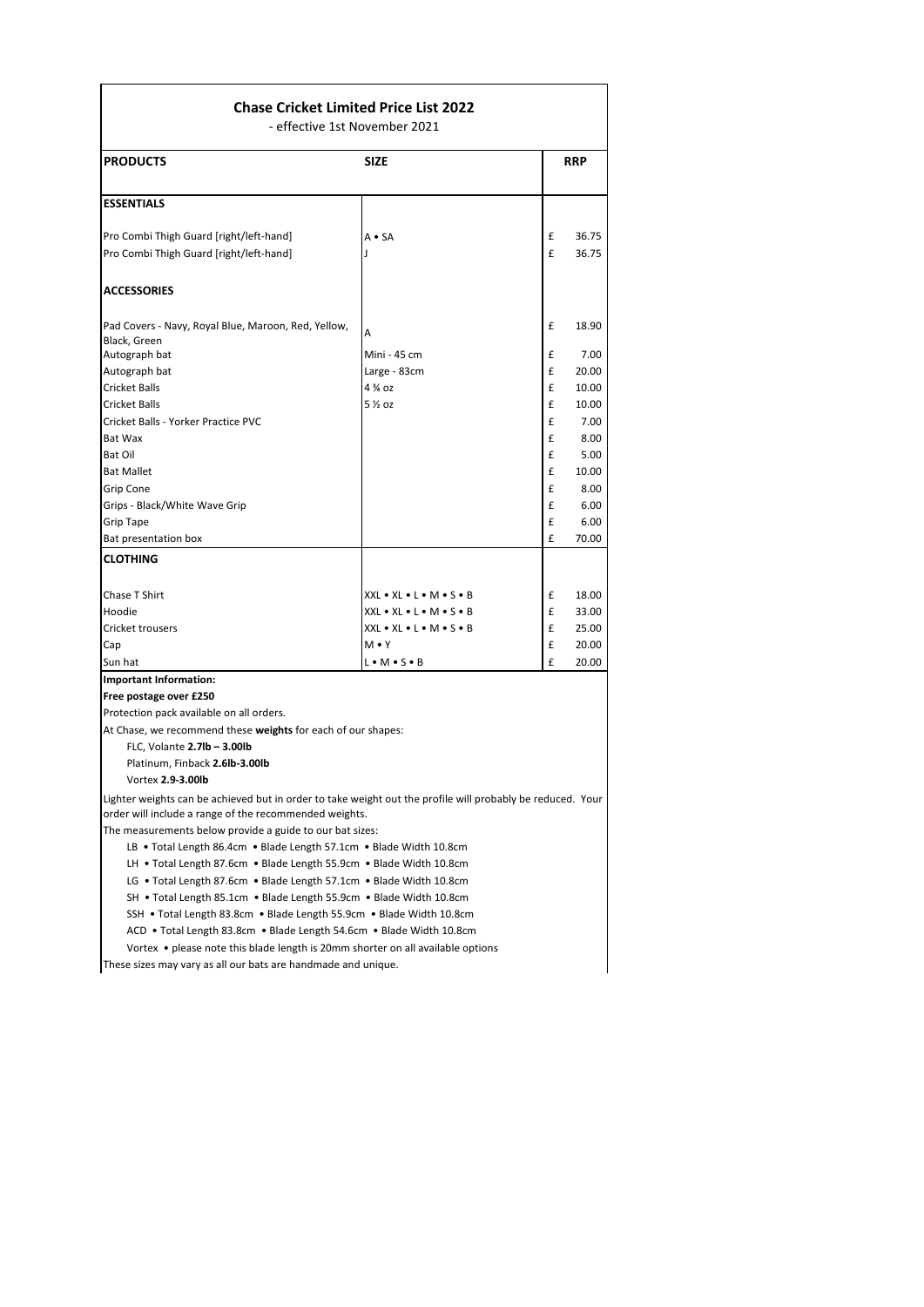## **Chase Cricket Limited Price List 2022**

- effective 1st November 2021

| <b>PRODUCTS</b>                                                     | <b>SIZE</b>                                              |   | <b>RRP</b> |
|---------------------------------------------------------------------|----------------------------------------------------------|---|------------|
| <b>ESSENTIALS</b>                                                   |                                                          |   |            |
| Pro Combi Thigh Guard [right/left-hand]                             | $A \cdot SA$                                             | £ | 36.75      |
| Pro Combi Thigh Guard [right/left-hand]                             |                                                          | £ | 36.75      |
| <b>ACCESSORIES</b>                                                  |                                                          |   |            |
| Pad Covers - Navy, Royal Blue, Maroon, Red, Yellow,<br>Black, Green | A                                                        | £ | 18.90      |
| Autograph bat                                                       | Mini - 45 cm                                             | £ | 7.00       |
| Autograph bat                                                       | Large - 83cm                                             | £ | 20.00      |
| <b>Cricket Balls</b>                                                | $4\frac{3}{4}$ QZ                                        | £ | 10.00      |
| <b>Cricket Balls</b>                                                | 5 1/2 OZ                                                 | £ | 10.00      |
| Cricket Balls - Yorker Practice PVC                                 |                                                          | £ | 7.00       |
| Bat Wax                                                             |                                                          | £ | 8.00       |
| <b>Bat Oil</b>                                                      |                                                          | £ | 5.00       |
| <b>Bat Mallet</b>                                                   |                                                          | £ | 10.00      |
| Grip Cone                                                           |                                                          | £ | 8.00       |
| Grips - Black/White Wave Grip                                       |                                                          | £ | 6.00       |
| <b>Grip Tape</b>                                                    |                                                          | £ | 6.00       |
| Bat presentation box                                                |                                                          | £ | 70.00      |
| CLOTHING                                                            |                                                          |   |            |
| Chase T Shirt                                                       | $XXL \bullet XL \bullet L \bullet M \bullet S \bullet B$ | £ | 18.00      |
| Hoodie                                                              | XXL . XL . L . M . S . B                                 | £ | 33.00      |
| Cricket trousers                                                    | XXL . XL . L . M . S . B                                 | £ | 25.00      |
| Cap                                                                 | $M \cdot Y$                                              | £ | 20.00      |
| Sun hat                                                             | $L \cdot M \cdot S \cdot B$                              | £ | 20.00      |
| <b>Important Information:</b>                                       |                                                          |   |            |
| Free postage over £250                                              |                                                          |   |            |

Protection pack available on all orders.

At Chase, we recommend these **weights** for each of our shapes:

FLC, Volante **2.7lb – 3.00lb**

Platinum, Finback **2.6lb-3.00lb**

Vortex **2.9-3.00lb**

Lighter weights can be achieved but in order to take weight out the profile will probably be reduced. Your order will include a range of the recommended weights.

The measurements below provide a guide to our bat sizes:

LB • Total Length 86.4cm • Blade Length 57.1cm • Blade Width 10.8cm

LH • Total Length 87.6cm • Blade Length 55.9cm • Blade Width 10.8cm

LG • Total Length 87.6cm • Blade Length 57.1cm • Blade Width 10.8cm

SH • Total Length 85.1cm • Blade Length 55.9cm • Blade Width 10.8cm

SSH • Total Length 83.8cm • Blade Length 55.9cm • Blade Width 10.8cm

ACD • Total Length 83.8cm • Blade Length 54.6cm • Blade Width 10.8cm

Vortex • please note this blade length is 20mm shorter on all available options

These sizes may vary as all our bats are handmade and unique.